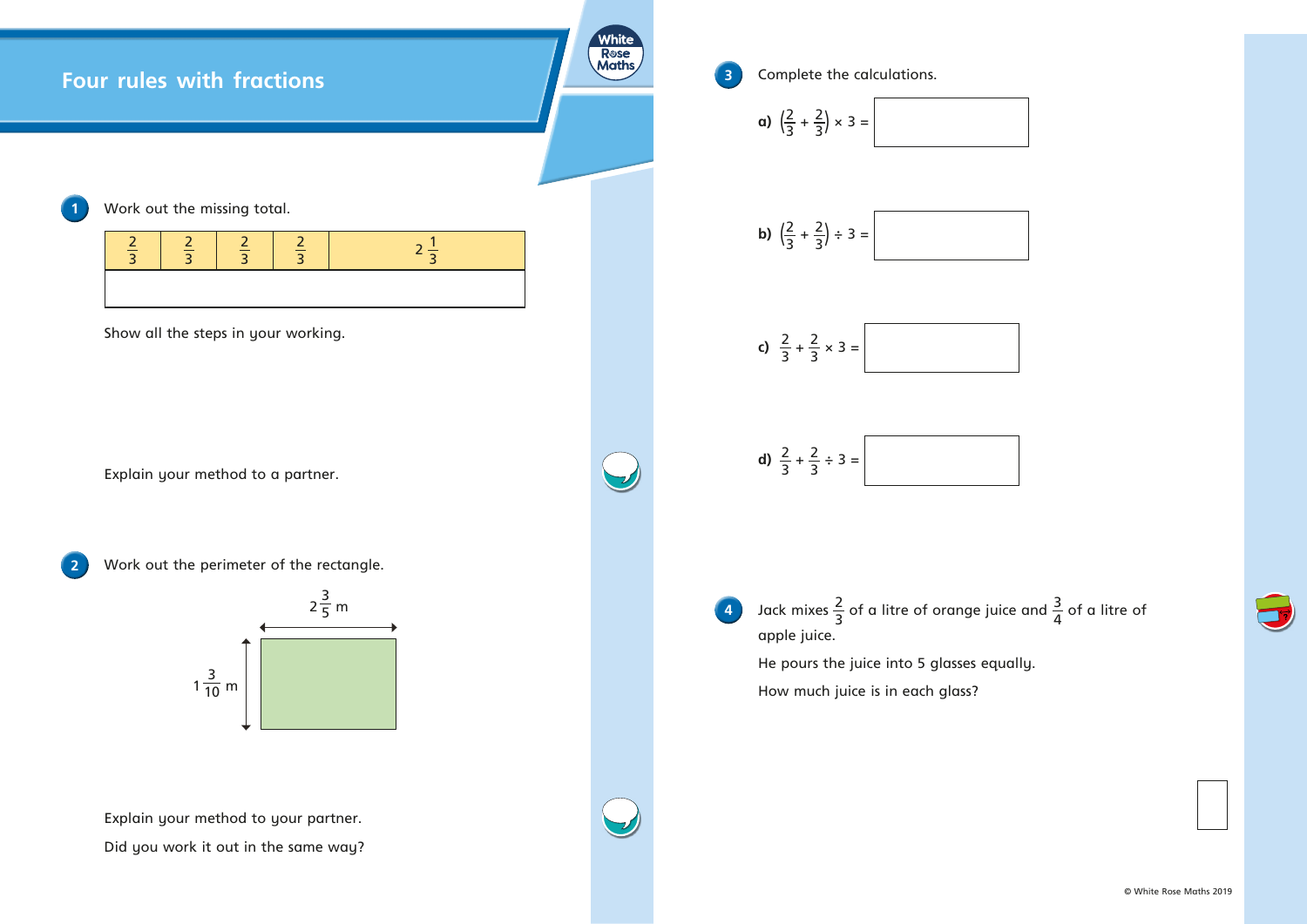



 $\overrightarrow{r}$